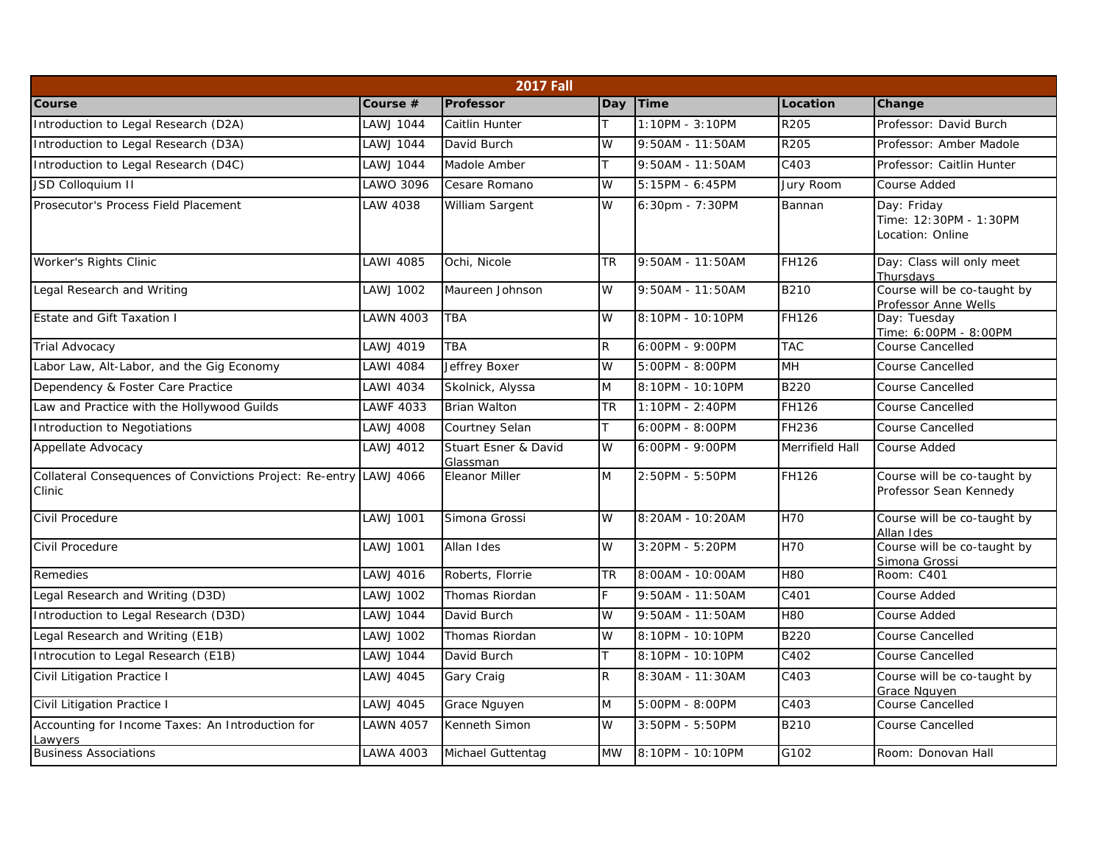| <b>2017 Fall</b>                                                             |                  |                                  |           |                  |                   |                                                           |  |  |  |  |
|------------------------------------------------------------------------------|------------------|----------------------------------|-----------|------------------|-------------------|-----------------------------------------------------------|--|--|--|--|
| Course                                                                       | Course #         | Professor                        | Day       | <b>Time</b>      | Location          | Change                                                    |  |  |  |  |
| Introduction to Legal Research (D2A)                                         | <b>AWJ 1044</b>  | Caitlin Hunter                   |           | 1:10PM - 3:10PM  | R205              | Professor: David Burch                                    |  |  |  |  |
| Introduction to Legal Research (D3A)                                         | LAWJ 1044        | David Burch                      | W         | 9:50AM - 11:50AM | R205              | Professor: Amber Madole                                   |  |  |  |  |
| Introduction to Legal Research (D4C)                                         | LAWJ 1044        | Madole Amber                     | T.        | 9:50AM - 11:50AM | C403              | Professor: Caitlin Hunter                                 |  |  |  |  |
| JSD Colloquium II                                                            | LAWO 3096        | Cesare Romano                    | W         | 5:15PM - 6:45PM  | Jury Room         | Course Added                                              |  |  |  |  |
| Prosecutor's Process Field Placement                                         | LAW 4038         | William Sargent                  | W         | 6:30pm - 7:30PM  | Bannan            | Day: Friday<br>Time: 12:30PM - 1:30PM<br>Location: Online |  |  |  |  |
| Worker's Rights Clinic                                                       | LAWI 4085        | Ochi, Nicole                     | TR        | 9:50AM - 11:50AM | FH126             | Day: Class will only meet<br>Thursdays                    |  |  |  |  |
| Legal Research and Writing                                                   | LAWJ 1002        | Maureen Johnson                  | W         | 9:50AM - 11:50AM | <b>B210</b>       | Course will be co-taught by<br>Professor Anne Wells       |  |  |  |  |
| Estate and Gift Taxation I                                                   | <b>LAWN 4003</b> | <b>TBA</b>                       | W         | 8:10PM - 10:10PM | <b>FH126</b>      | Day: Tuesday<br>Time: 6:00PM - 8:00PM                     |  |  |  |  |
| <b>Trial Advocacy</b>                                                        | LAWJ 4019        | <b>TBA</b>                       | R.        | 6:00PM - 9:00PM  | <b>TAC</b>        | Course Cancelled                                          |  |  |  |  |
| Labor Law, Alt-Labor, and the Gig Economy                                    | LAWI 4084        | <b>Jeffrey Boxer</b>             | W         | 5:00PM - 8:00PM  | <b>MH</b>         | <b>Course Cancelled</b>                                   |  |  |  |  |
| Dependency & Foster Care Practice                                            | <b>LAWI 4034</b> | Skolnick, Alyssa                 | M         | 8:10PM - 10:10PM | <b>B220</b>       | <b>Course Cancelled</b>                                   |  |  |  |  |
| Law and Practice with the Hollywood Guilds                                   | <b>AWF 4033</b>  | <b>Brian Walton</b>              | TR        | 1:10PM - 2:40PM  | FH126             | <b>Course Cancelled</b>                                   |  |  |  |  |
| Introduction to Negotiations                                                 | AWJ 4008         | Courtney Selan                   | T.        | 6:00PM - 8:00PM  | FH236             | Course Cancelled                                          |  |  |  |  |
| Appellate Advocacy                                                           | LAWJ 4012        | Stuart Esner & David<br>Glassman | W         | 6:00PM - 9:00PM  | Merrifield Hall   | Course Added                                              |  |  |  |  |
| Collateral Consequences of Convictions Project: Re-entry LAWJ 4066<br>Clinic |                  | <b>Eleanor Miller</b>            | M         | 2:50PM - 5:50PM  | FH126             | Course will be co-taught by<br>Professor Sean Kennedy     |  |  |  |  |
| Civil Procedure                                                              | LAWJ 1001        | Simona Grossi                    | W         | 8:20AM - 10:20AM | H70               | Course will be co-taught by<br>Allan Ides                 |  |  |  |  |
| Civil Procedure                                                              | LAWJ 1001        | Allan Ides                       | W         | 3:20PM - 5:20PM  | <b>H70</b>        | Course will be co-taught by<br>Simona Grossi              |  |  |  |  |
| Remedies                                                                     | <b>AWJ 4016</b>  | Roberts, Florrie                 | <b>TR</b> | 8:00AM - 10:00AM | <b>H80</b>        | Room: C401                                                |  |  |  |  |
| Legal Research and Writing (D3D)                                             | LAWJ 1002        | Thomas Riordan                   | F.        | 9:50AM - 11:50AM | C401              | Course Added                                              |  |  |  |  |
| Introduction to Legal Research (D3D)                                         | <b>LAWJ 1044</b> | David Burch                      | W         | 9:50AM - 11:50AM | <b>H80</b>        | Course Added                                              |  |  |  |  |
| Legal Research and Writing (E1B)                                             | LAWJ 1002        | Thomas Riordan                   | W         | 8:10PM - 10:10PM | <b>B220</b>       | <b>Course Cancelled</b>                                   |  |  |  |  |
| Introcution to Legal Research (E1B)                                          | <b>AWJ 1044</b>  | David Burch                      | T.        | 8:10PM - 10:10PM | C402              | <b>Course Cancelled</b>                                   |  |  |  |  |
| Civil Litigation Practice I                                                  | LAWJ 4045        | Gary Craig                       | R.        | 8:30AM - 11:30AM | C403              | Course will be co-taught by<br>Grace Nguyen               |  |  |  |  |
| Civil Litigation Practice I                                                  | LAWJ 4045        | Grace Nguyen                     | M         | 5:00PM - 8:00PM  | C403              | Course Cancelled                                          |  |  |  |  |
| Accounting for Income Taxes: An Introduction for<br>awyers                   | <b>AWN 4057</b>  | Kenneth Simon                    | W         | 3:50PM - 5:50PM  | B210              | <b>Course Cancelled</b>                                   |  |  |  |  |
| <b>Business Associations</b>                                                 | LAWA 4003        | Michael Guttentag                | <b>MW</b> | 8:10PM - 10:10PM | $\overline{G102}$ | Room: Donovan Hall                                        |  |  |  |  |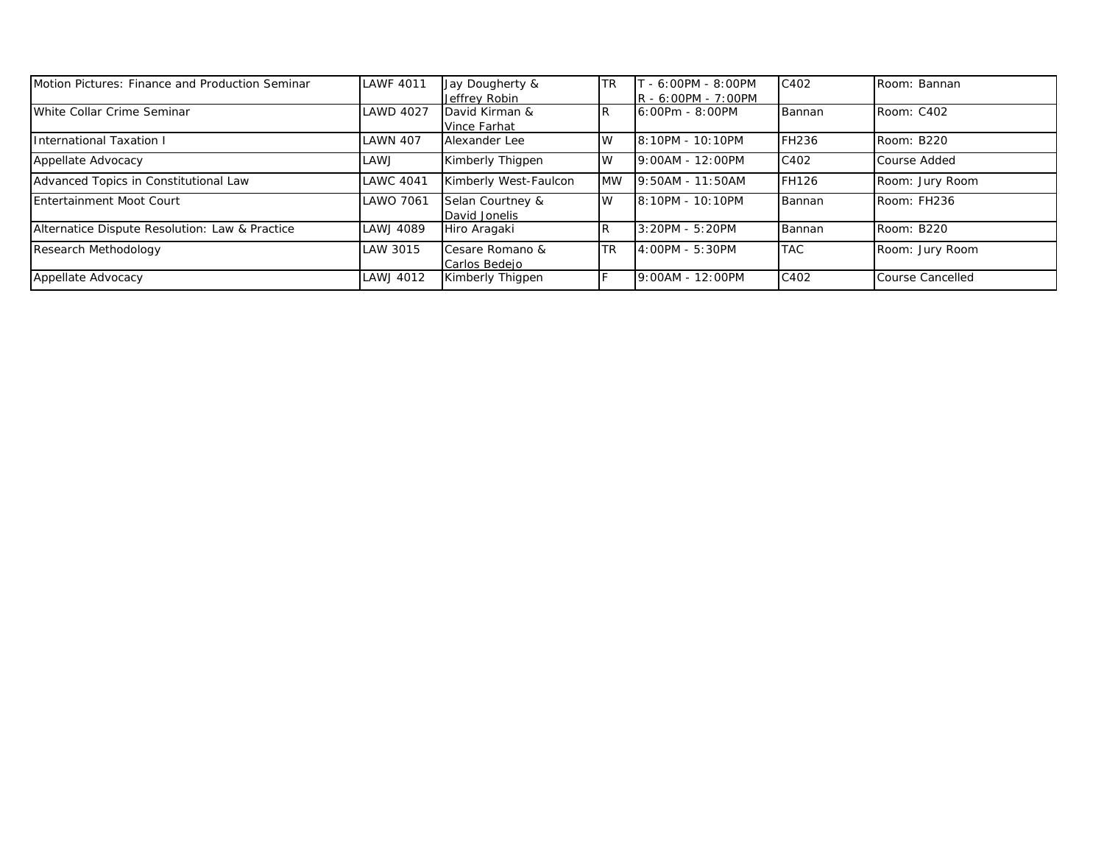| Motion Pictures: Finance and Production Seminar | <b>LAWF 4011</b> | Jay Dougherty &       | <b>TR</b>  | $-6:00PM - 8:00PM$    | C402         | Room: Bannan     |
|-------------------------------------------------|------------------|-----------------------|------------|-----------------------|--------------|------------------|
|                                                 |                  | Jeffrey Robin         |            | $R - 6:00PM - 7:00PM$ |              |                  |
| White Collar Crime Seminar                      | <b>LAWD 4027</b> | David Kirman &        | IR.        | $6:00Pm - 8:00PM$     | Bannan       | Room: C402       |
|                                                 |                  | <b>Vince Farhat</b>   |            |                       |              |                  |
| <b>International Taxation I</b>                 | LAWN 407         | Alexander Lee         | <b>IW</b>  | 8:10PM - 10:10PM      | <b>FH236</b> | Room: B220       |
| Appellate Advocacy                              | LAWJ             | Kimberly Thigpen      | IW         | 9:00AM - 12:00PM      | C402         | Course Added     |
| Advanced Topics in Constitutional Law           | <b>LAWC 4041</b> | Kimberly West-Faulcon | <b>MW</b>  | 9:50AM - 11:50AM      | <b>FH126</b> | Room: Jury Room  |
| Entertainment Moot Court                        | LAWO 7061        | Selan Courtney &      | <b>W</b>   | 8:10PM - 10:10PM      | Bannan       | Room: FH236      |
|                                                 |                  | David Jonelis         |            |                       |              |                  |
| Alternatice Dispute Resolution: Law & Practice  | LAWJ 4089        | Hiro Aragaki          | IR.        | 3:20PM - 5:20PM       | Bannan       | Room: B220       |
| Research Methodology                            | LAW 3015         | Cesare Romano &       | <b>ITR</b> | 4:00PM - 5:30PM       | <b>TAC</b>   | Room: Jury Room  |
|                                                 |                  | Carlos Bedejo         |            |                       |              |                  |
| Appellate Advocacy                              | LAWJ 4012        | Kimberly Thigpen      | F          | 9:00AM - 12:00PM      | C402         | Course Cancelled |